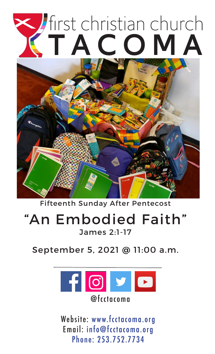# Sirst christian church TACOMA



Fifteenth Sunday After Pentecost

## "An Embodied Faith" James 2:1-17

September 5, 2021 @ 11:00 a.m.



Website: www.fcctacoma.org Email: info@fcctacoma.org Phone: 253.752.7734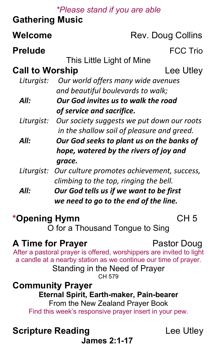#### *\*Please stand if you are able*

### **Gathering Music**

| Welcome                         | Rev. Doug Collins                                                                                                                                                         |                 |
|---------------------------------|---------------------------------------------------------------------------------------------------------------------------------------------------------------------------|-----------------|
| <b>Prelude</b>                  |                                                                                                                                                                           | <b>FCC Trio</b> |
|                                 | This Little Light of Mine                                                                                                                                                 |                 |
| <b>Call to Worship</b>          |                                                                                                                                                                           | Lee Utley       |
| Liturgist:                      | Our world offers many wide avenues                                                                                                                                        |                 |
|                                 | and beautiful boulevards to walk;                                                                                                                                         |                 |
| All:                            | Our God invites us to walk the road                                                                                                                                       |                 |
|                                 | of service and sacrifice.                                                                                                                                                 |                 |
| Liturgist:                      | Our society suggests we put down our roots                                                                                                                                |                 |
|                                 | in the shallow soil of pleasure and greed.                                                                                                                                |                 |
| All:                            | Our God seeks to plant us on the banks of                                                                                                                                 |                 |
|                                 | hope, watered by the rivers of joy and                                                                                                                                    |                 |
|                                 | grace.                                                                                                                                                                    |                 |
| Liturgist:                      | Our culture promotes achievement, success,                                                                                                                                |                 |
|                                 | climbing to the top, ringing the bell.                                                                                                                                    |                 |
| All:                            | Our God tells us if we want to be first                                                                                                                                   |                 |
|                                 | we need to go to the end of the line.                                                                                                                                     |                 |
| *Opening Hymn                   |                                                                                                                                                                           | CH <sub>5</sub> |
| O for a Thousand Tongue to Sing |                                                                                                                                                                           |                 |
| <b>A Time for Prayer</b>        | After a pastoral prayer is offered, worshippers are invited to light<br>a candle at a nearby station as we continue our time of prayer.<br>Standing in the Need of Prayer | Pastor Doug     |
|                                 | CH 579<br><b>Community Prayer</b><br>Eternal Spirit, Earth maker, Dain bearer                                                                                             |                 |

#### **Community Prayer Eternal Spirit, Earth-maker, Pain-bearer** From the New Zealand Prayer Book Find this week's responsive prayer insert in your pew.

## **Scripture Reading Lee Utley**

**James 2:1-17**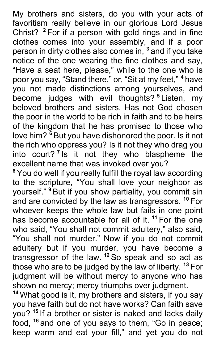My brothers and sisters, do you with your acts of favoritism really believe in our glorious Lord Jesus Christ? **<sup>2</sup>** For if a person with gold rings and in fine clothes comes into your assembly, and if a poor person in dirty clothes also comes in, **<sup>3</sup>** and if you take notice of the one wearing the fine clothes and say, "Have a seat here, please," while to the one who is poor you say, "Stand there," or, "Sit at my feet," **<sup>4</sup>** have you not made distinctions among yourselves, and become judges with evil thoughts? **<sup>5</sup>** Listen, my beloved brothers and sisters. Has not God chosen the poor in the world to be rich in faith and to be heirs of the kingdom that he has promised to those who love him? **<sup>6</sup>** But you have dishonored the poor. Is it not the rich who oppress you? Is it not they who drag you into court? **<sup>7</sup>** Is it not they who blaspheme the excellent name that was invoked over you?

**<sup>8</sup>** You do well if you really fulfill the royal law according to the scripture, "You shall love your neighbor as yourself." **<sup>9</sup>** But if you show partiality, you commit sin and are convicted by the law as transgressors. **<sup>10</sup>** For whoever keeps the whole law but fails in one point has become accountable for all of it. **<sup>11</sup>** For the one who said, "You shall not commit adultery," also said, "You shall not murder." Now if you do not commit adultery but if you murder, you have become a transgressor of the law. **<sup>12</sup>** So speak and so act as those who are to be judged by the law of liberty. **<sup>13</sup>** For judgment will be without mercy to anyone who has shown no mercy; mercy triumphs over judgment.

**<sup>14</sup>** What good is it, my brothers and sisters, if you say you have faith but do not have works? Can faith save you? **<sup>15</sup>** If a brother or sister is naked and lacks daily food, **<sup>16</sup>** and one of you says to them, "Go in peace; keep warm and eat your fill," and yet you do not